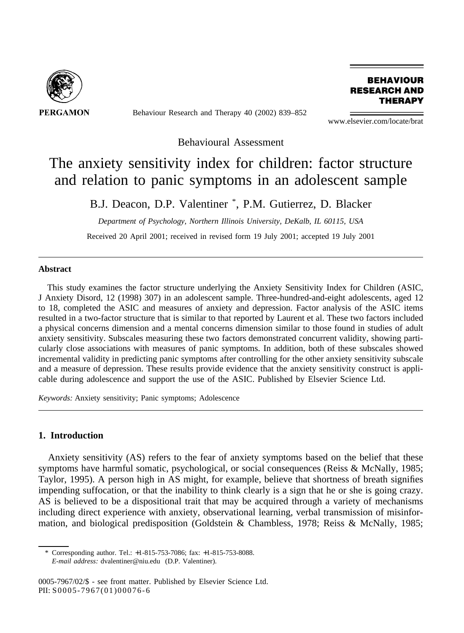

Behaviour Research and Therapy 40 (2002) 839–852

**BEHAVIOUR RESEARCH AND THERAPY** 

www.elsevier.com/locate/brat

Behavioural Assessment

## The anxiety sensitivity index for children: factor structure and relation to panic symptoms in an adolescent sample

B.J. Deacon, D.P. Valentiner \* , P.M. Gutierrez, D. Blacker

*Department of Psychology, Northern Illinois University, DeKalb, IL 60115, USA*

Received 20 April 2001; received in revised form 19 July 2001; accepted 19 July 2001

## **Abstract**

This study examines the factor structure underlying the Anxiety Sensitivity Index for Children (ASIC, J Anxiety Disord, 12 (1998) 307) in an adolescent sample. Three-hundred-and-eight adolescents, aged 12 to 18, completed the ASIC and measures of anxiety and depression. Factor analysis of the ASIC items resulted in a two-factor structure that is similar to that reported by Laurent et al. These two factors included a physical concerns dimension and a mental concerns dimension similar to those found in studies of adult anxiety sensitivity. Subscales measuring these two factors demonstrated concurrent validity, showing particularly close associations with measures of panic symptoms. In addition, both of these subscales showed incremental validity in predicting panic symptoms after controlling for the other anxiety sensitivity subscale and a measure of depression. These results provide evidence that the anxiety sensitivity construct is applicable during adolescence and support the use of the ASIC. Published by Elsevier Science Ltd.

*Keywords:* Anxiety sensitivity; Panic symptoms; Adolescence

## **1. Introduction**

Anxiety sensitivity (AS) refers to the fear of anxiety symptoms based on the belief that these symptoms have harmful somatic, psychological, or social consequences (Reiss & McNally, 1985; Taylor, 1995). A person high in AS might, for example, believe that shortness of breath signifies impending suffocation, or that the inability to think clearly is a sign that he or she is going crazy. AS is believed to be a dispositional trait that may be acquired through a variety of mechanisms including direct experience with anxiety, observational learning, verbal transmission of misinformation, and biological predisposition (Goldstein & Chambless, 1978; Reiss & McNally, 1985;

<sup>\*</sup> Corresponding author. Tel.: +1-815-753-7086; fax: +1-815-753-8088. *E-mail address:* dvalentiner@niu.edu (D.P. Valentiner).

<sup>0005-7967/02/\$ -</sup> see front matter. Published by Elsevier Science Ltd. PII: S0 005-7967(01)00076-6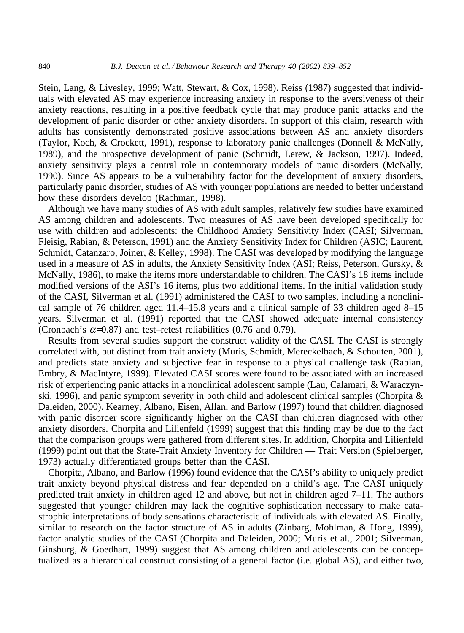Stein, Lang, & Livesley, 1999; Watt, Stewart, & Cox, 1998). Reiss (1987) suggested that individuals with elevated AS may experience increasing anxiety in response to the aversiveness of their anxiety reactions, resulting in a positive feedback cycle that may produce panic attacks and the development of panic disorder or other anxiety disorders. In support of this claim, research with adults has consistently demonstrated positive associations between AS and anxiety disorders (Taylor, Koch, & Crockett, 1991), response to laboratory panic challenges (Donnell & McNally, 1989), and the prospective development of panic (Schmidt, Lerew, & Jackson, 1997). Indeed, anxiety sensitivity plays a central role in contemporary models of panic disorders (McNally, 1990). Since AS appears to be a vulnerability factor for the development of anxiety disorders, particularly panic disorder, studies of AS with younger populations are needed to better understand how these disorders develop (Rachman, 1998).

Although we have many studies of AS with adult samples, relatively few studies have examined AS among children and adolescents. Two measures of AS have been developed specifically for use with children and adolescents: the Childhood Anxiety Sensitivity Index (CASI; Silverman, Fleisig, Rabian, & Peterson, 1991) and the Anxiety Sensitivity Index for Children (ASIC; Laurent, Schmidt, Catanzaro, Joiner, & Kelley, 1998). The CASI was developed by modifying the language used in a measure of AS in adults, the Anxiety Sensitivity Index (ASI; Reiss, Peterson, Gursky, & McNally, 1986), to make the items more understandable to children. The CASI's 18 items include modified versions of the ASI's 16 items, plus two additional items. In the initial validation study of the CASI, Silverman et al. (1991) administered the CASI to two samples, including a nonclinical sample of 76 children aged 11.4–15.8 years and a clinical sample of 33 children aged 8–15 years. Silverman et al. (1991) reported that the CASI showed adequate internal consistency (Cronbach's  $\alpha$ =0.87) and test–retest reliabilities (0.76 and 0.79).

Results from several studies support the construct validity of the CASI. The CASI is strongly correlated with, but distinct from trait anxiety (Muris, Schmidt, Mereckelbach, & Schouten, 2001), and predicts state anxiety and subjective fear in response to a physical challenge task (Rabian, Embry, & MacIntyre, 1999). Elevated CASI scores were found to be associated with an increased risk of experiencing panic attacks in a nonclinical adolescent sample (Lau, Calamari, & Waraczynski, 1996), and panic symptom severity in both child and adolescent clinical samples (Chorpita & Daleiden, 2000). Kearney, Albano, Eisen, Allan, and Barlow (1997) found that children diagnosed with panic disorder score significantly higher on the CASI than children diagnosed with other anxiety disorders. Chorpita and Lilienfeld (1999) suggest that this finding may be due to the fact that the comparison groups were gathered from different sites. In addition, Chorpita and Lilienfeld (1999) point out that the State-Trait Anxiety Inventory for Children — Trait Version (Spielberger, 1973) actually differentiated groups better than the CASI.

Chorpita, Albano, and Barlow (1996) found evidence that the CASI's ability to uniquely predict trait anxiety beyond physical distress and fear depended on a child's age. The CASI uniquely predicted trait anxiety in children aged 12 and above, but not in children aged 7–11. The authors suggested that younger children may lack the cognitive sophistication necessary to make catastrophic interpretations of body sensations characteristic of individuals with elevated AS. Finally, similar to research on the factor structure of AS in adults (Zinbarg, Mohlman, & Hong, 1999), factor analytic studies of the CASI (Chorpita and Daleiden, 2000; Muris et al., 2001; Silverman, Ginsburg, & Goedhart, 1999) suggest that AS among children and adolescents can be conceptualized as a hierarchical construct consisting of a general factor (i.e. global AS), and either two,